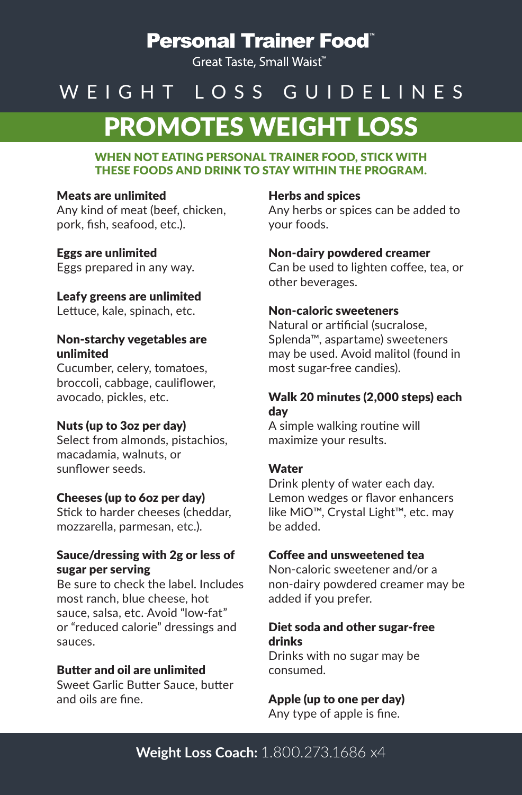# **Personal Trainer Food**"

Great Taste, Small Waist<sup>\*\*</sup>

# PROMOTES WEIGHT LOSS WEIGHT LOSS GUIDELINES

### WHEN NOT EATING PERSONAL TRAINER FOOD, STICK WITH THESE FOODS AND DRINK TO STAY WITHIN THE PROGRAM.

### Meats are unlimited

Any kind of meat (beef, chicken, pork, fish, seafood, etc.).

# Eggs are unlimited

Eggs prepared in any way.

### Leafy greens are unlimited

Lettuce, kale, spinach, etc.

### Non-starchy vegetables are unlimited

Cucumber, celery, tomatoes, broccoli, cabbage, cauliflower, avocado, pickles, etc.

# Nuts (up to 3oz per day)

Select from almonds, pistachios, macadamia, walnuts, or sunflower seeds.

# Cheeses (up to 6oz per day)

Stick to harder cheeses (cheddar, mozzarella, parmesan, etc.).

### Sauce/dressing with 2g or less of sugar per serving

Be sure to check the label. Includes most ranch, blue cheese, hot sauce, salsa, etc. Avoid "low-fat" or "reduced calorie" dressings and sauces.

### Butter and oil are unlimited

Sweet Garlic Butter Sauce, butter and oils are fine.

### Herbs and spices

Any herbs or spices can be added to your foods.

### Non-dairy powdered creamer

Can be used to lighten coffee, tea, or other beverages.

### Non-caloric sweeteners

Natural or artificial (sucralose, Splenda™, aspartame) sweeteners may be used. Avoid malitol (found in most sugar-free candies).

# Walk 20 minutes (2,000 steps) each day

A simple walking routine will maximize your results.

### **Water**

Drink plenty of water each day. Lemon wedges or flavor enhancers like MiO™, Crystal Light™, etc. may be added.

# Coffee and unsweetened tea

Non-caloric sweetener and/or a non-dairy powdered creamer may be added if you prefer.

# Diet soda and other sugar-free drinks

Drinks with no sugar may be consumed.

# Apple (up to one per day)

Any type of apple is fine.